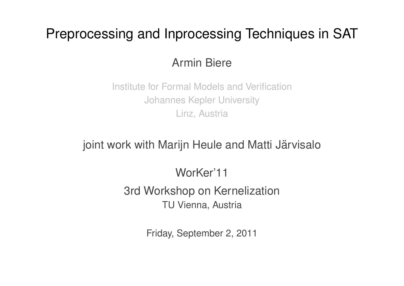# Preprocessing and Inprocessing Techniques in SAT

## Armin Biere

Institute for Formal Models and Verification Johannes Kepler University Linz, Austria

## joint work with Marijn Heule and Matti Järvisalo

## WorKer'11

3rd Workshop on Kernelization TU Vienna, Austria

Friday, September 2, 2011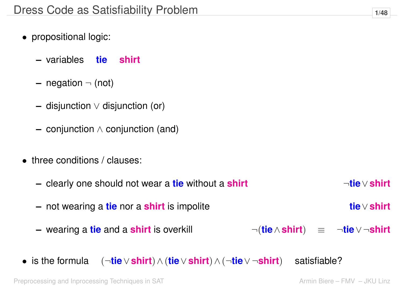- propositional logic:
	- **–** variables **tie shirt**
	- **–** negation ¬ (not)
	- **–** disjunction ∨ disjunction (or)
	- **–** conjunction ∧ conjunction (and)
- three conditions / clauses:
	- **–** clearly one should not wear a **tie** without a **shirt** ¬**tie**∨**shirt –** not wearing a **tie** nor a **shirt** is impolite **tie**∨**shirt –** wearing a **tie** and a **shirt** is overkill ¬(**tie**∧**shirt**) ≡ ¬**tie**∨ ¬**shirt**
- is the formula (¬**tie**∨**shirt**)∧(**tie**∨**shirt**)∧(¬**tie**∨ ¬**shirt**) satisfiable?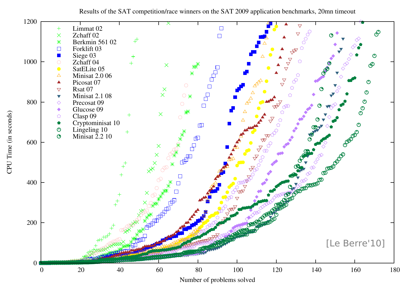Results of the SAT competition/race winners on the SAT 2009 application benchmarks, 20mn timeout

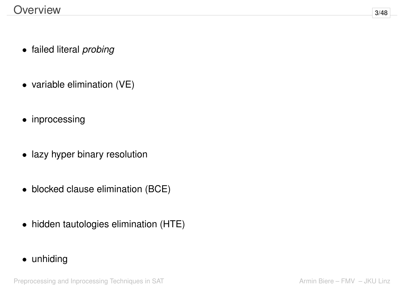- failed literal *probing*
- variable elimination (VE)
- inprocessing
- lazy hyper binary resolution
- blocked clause elimination (BCE)
- hidden tautologies elimination (HTE)
- unhiding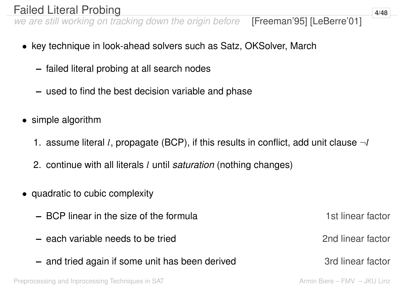## Failed Literal Probing **1/48**

*we are still working on tracking down the origin before* [Freeman'95] [LeBerre'01]

- key technique in look-ahead solvers such as Satz, OKSolver, March
	- **–** failed literal probing at all search nodes
	- **–** used to find the best decision variable and phase
- simple algorithm
	- 1. assume literal *l*, propagate (BCP), if this results in conflict, add unit clause  $\neg l$
	- 2. continue with all literals *l* until *saturation* (nothing changes)
- quadratic to cubic complexity
	- **–** BCP linear in the size of the formula **1st linear factor** 1st linear factor
	- **–** each variable needs to be tried 2nd linear factor
	- **–** and tried again if some unit has been derived **3rd linear factor**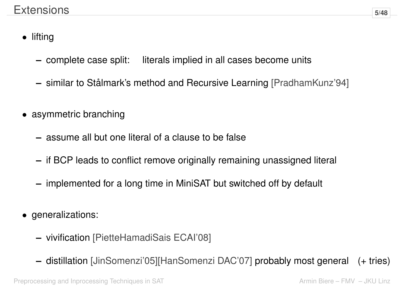- lifting
	- **–** complete case split: literals implied in all cases become units
	- **–** similar to Stålmark's method and Recursive Learning [PradhamKunz'94]
- asymmetric branching
	- **–** assume all but one literal of a clause to be false
	- **–** if BCP leads to conflict remove originally remaining unassigned literal
	- **–** implemented for a long time in MiniSAT but switched off by default
- generalizations:
	- **–** vivification [PietteHamadiSais ECAI'08]
	- **–** distillation [JinSomenzi'05][HanSomenzi DAC'07] probably most general (+ tries)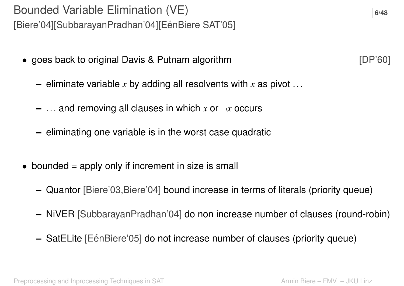[Biere'04][SubbarayanPradhan'04][EénBiere SAT'05]

- goes back to original Davis & Putnam algorithm  $[DP'60]$ 
	- **–** eliminate variable *x* by adding all resolvents with *x* as pivot ...
	- **–** ... and removing all clauses in which *x* or ¬*x* occurs
	- **–** eliminating one variable is in the worst case quadratic
- bounded  $=$  apply only if increment in size is small
	- **–** Quantor [Biere'03,Biere'04] bound increase in terms of literals (priority queue)
	- **–** NiVER [SubbarayanPradhan'04] do non increase number of clauses (round-robin)
	- **–** SatELite [EénBiere'05] do not increase number of clauses (priority queue)

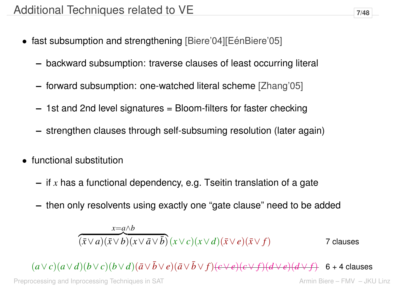- fast subsumption and strengthening [Biere'04][EénBiere'05]
	- **–** backward subsumption: traverse clauses of least occurring literal
	- **–** forward subsumption: one-watched literal scheme [Zhang'05]
	- **–** 1st and 2nd level signatures = Bloom-filters for faster checking
	- **–** strengthen clauses through self-subsuming resolution (later again)
- functional substitution
	- **–** if *x* has a functional dependency, e.g. Tseitin translation of a gate
	- **–** then only resolvents using exactly one "gate clause" need to be added

$$
\frac{x=a \wedge b}{(\bar{x} \vee a)(\bar{x} \vee b)(x \vee \bar{a} \vee \bar{b})}(x \vee c)(x \vee d)(\bar{x} \vee e)(\bar{x} \vee f)
$$
7 clauses

 $(a \vee c)(a \vee d)(b \vee c)(b \vee d)(\bar{a} \vee \bar{b} \vee e)(\bar{a} \vee \bar{b} \vee f)(c \vee e)(c \vee f)(d \vee e)(d \vee f)$  6 + 4 clauses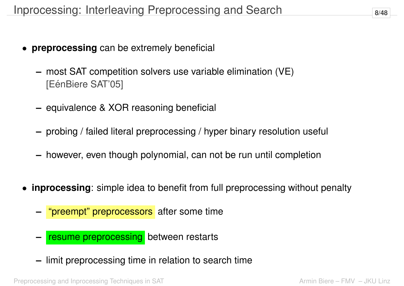- **preprocessing** can be extremely beneficial
	- **–** most SAT competition solvers use variable elimination (VE) [EénBiere SAT'05]
	- **–** equivalence & XOR reasoning beneficial
	- **–** probing / failed literal preprocessing / hyper binary resolution useful
	- **–** however, even though polynomial, can not be run until completion
- **inprocessing**: simple idea to benefit from full preprocessing without penalty
	- **–** "preempt" preprocessors after some time
	- **resume preprocessing** between restarts
	- **–** limit preprocessing time in relation to search time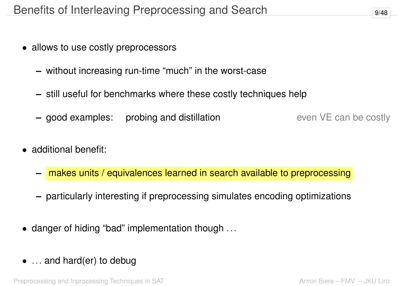- allows to use costly preprocessors
	- **–** without increasing run-time "much" in the worst-case
	- **–** still useful for benchmarks where these costly techniques help
	- **–** good examples: probing and distillation even VE can be costly

- additional benefit:
	- **–** makes units / equivalences learned in search available to preprocessing
	- **–** particularly interesting if preprocessing simulates encoding optimizations
- danger of hiding "bad" implementation though ...
- ... and hard(er) to debug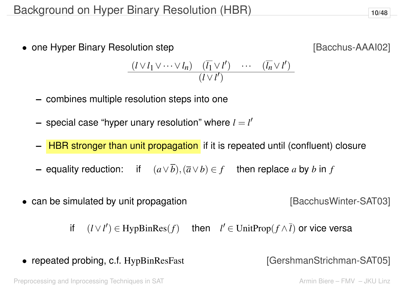• one Hyper Binary Resolution step **[Bacchus-AAAI02]** 

$$
\frac{(l \vee l_1 \vee \cdots \vee l_n) \quad (\overline{l_1} \vee l') \quad \cdots \quad (\overline{l_n} \vee l')}{(l \vee l')}
$$

- **–** combines multiple resolution steps into one
- $-$  special case "hyper unary resolution" where  $l = l'$
- **–** HBR stronger than unit propagation if it is repeated until (confluent) closure
- **–** equality reduction: if (*a*∨*b*),(*a*∨*b*) ∈ *f* then replace *a* by *b* in *f*
- can be simulated by unit propagation **[BacchusWinter-SAT03]**

if  $(l \vee l') \in HypBinRes(f)$  then  $l' \in UnitProp(f \wedge \overline{l})$  or vice versa

• repeated probing, c.f. HypBinResFast [GershmanStrichman-SAT05]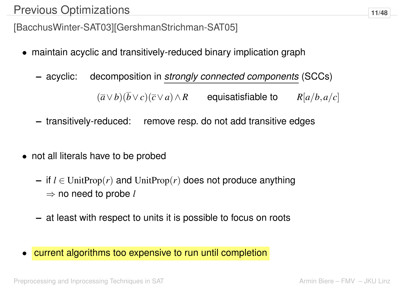## Previous Optimizations **11/48**

[BacchusWinter-SAT03][GershmanStrichman-SAT05]

- maintain acyclic and transitively-reduced binary implication graph
	- **–** acyclic: decomposition in *strongly connected components* (SCCs)

 $(\overline{a} \vee b)(\overline{b} \vee c)(\overline{c} \vee a) \wedge R$  equisatisfiable to  $R[a/b, a/c]$ 

- **–** transitively-reduced: remove resp. do not add transitive edges
- not all literals have to be probed
	- **–** if *l* ∈ UnitProp(*r*) and UnitProp(*r*) does not produce anything ⇒ no need to probe *l*
	- **–** at least with respect to units it is possible to focus on roots
- current algorithms too expensive to run until completion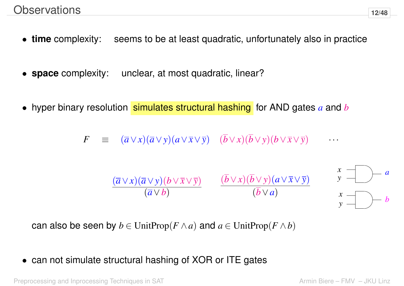- **time** complexity: seems to be at least quadratic, unfortunately also in practice
- **space** complexity: unclear, at most quadratic, linear?
- hyper binary resolution simulates structural hashing for AND gates a and b

 $F \equiv (\overline{a} \vee x)(\overline{a} \vee y)(a \vee \overline{x} \vee \overline{y}) \quad (\overline{b} \vee x)(\overline{b} \vee y)(b \vee \overline{x} \vee \overline{y})$ 

$$
\frac{(\overline{a}\vee x)(\overline{a}\vee y)(b\vee \overline{x}\vee \overline{y})}{(\overline{a}\vee b)} \qquad \frac{(\overline{b}\vee x)(\overline{b}\vee y)(a\vee \overline{x}\vee \overline{y})}{(\overline{b}\vee a)}
$$



can also be seen by  $b \in \text{UnitProp}(F \wedge a)$  and  $a \in \text{UnitProp}(F \wedge b)$ 

• can not simulate structural hashing of XOR or ITE gates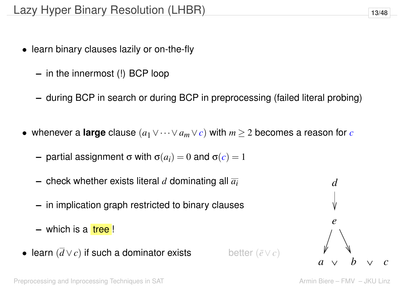- learn binary clauses lazily or on-the-fly
	- **–** in the innermost (!) BCP loop
	- **–** during BCP in search or during BCP in preprocessing (failed literal probing)
- whenever a **large** clause  $(a_1 \vee \cdots \vee a_m \vee c)$  with  $m \geq 2$  becomes a reason for *c* 
	- **–** partial assignment σ with  $σ(a_i) = 0$  and  $σ(c) = 1$
	- **–** check whether exists literal *d* dominating all *ai*
	- **–** in implication graph restricted to binary clauses
	- **–** which is a tree !
- learn (*d* ∨*c*) if such a dominator exists better (*e*¯∨*c*)



 $a \vee b \vee c$ *d e*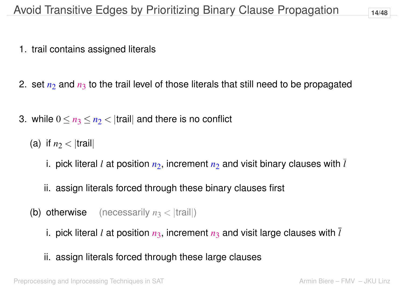- 1. trail contains assigned literals
- 2. set  $n_2$  and  $n_3$  to the trail level of those literals that still need to be propagated
- 3. while  $0 \le n_3 \le n_2 <$  traill and there is no conflict
	- (a) if  $n_2$  < |trail|
		- i. pick literal *l* at position  $n_2$ , increment  $n_2$  and visit binary clauses with  $\overline{l}$
		- ii. assign literals forced through these binary clauses first
	- (b) otherwise (necessarily  $n_3 <$  |trail|)
		- i. pick literal *l* at position  $n_3$ , increment  $n_3$  and visit large clauses with  $\overline{l}$
		- ii. assign literals forced through these large clauses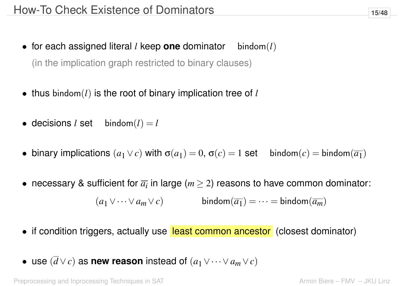- for each assigned literal *l* keep **one** dominator bindom(*l*) (in the implication graph restricted to binary clauses)
- thus bindom(*l*) is the root of binary implication tree of *l*
- decisions *l* set bindom $(l) = l$
- binary implications  $(a_1 \vee c)$  with  $\sigma(a_1) = 0$ ,  $\sigma(c) = 1$  set bindom $(c) = \text{bindom}(\overline{a_1})$
- necessary & sufficient for  $\overline{a_i}$  in large ( $m \geq 2$ ) reasons to have common dominator:

 $(a_1 \vee \cdots \vee a_m \vee c)$  bindom $(\overline{a_1}) = \cdots = \text{bindom}(\overline{a_m})$ 

- if condition triggers, actually use least common ancestor (closest dominator)
- use  $(\overline{d} \vee c)$  as **new reason** instead of  $(a_1 \vee \cdots \vee a_m \vee c)$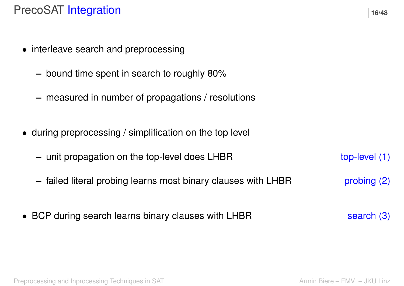- interleave search and preprocessing
	- **–** bound time spent in search to roughly 80%
	- **–** measured in number of propagations / resolutions
- during preprocessing / simplification on the top level
	- **–** unit propagation on the top-level does LHBR top-level (1)
	- **–** failed literal probing learns most binary clauses with LHBR probing (2)
- BCP during search learns binary clauses with LHBR search (3)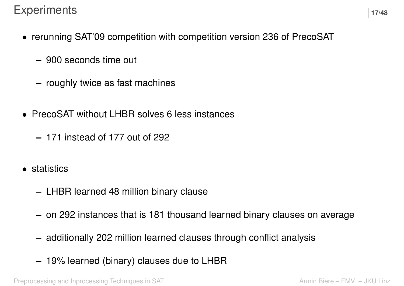- rerunning SAT'09 competition with competition version 236 of PrecoSAT
	- **–** 900 seconds time out
	- **–** roughly twice as fast machines
- PrecoSAT without LHBR solves 6 less instances
	- **–** 171 instead of 177 out of 292
- **statistics** 
	- **–** LHBR learned 48 million binary clause
	- **–** on 292 instances that is 181 thousand learned binary clauses on average
	- **–** additionally 202 million learned clauses through conflict analysis
	- **–** 19% learned (binary) clauses due to LHBR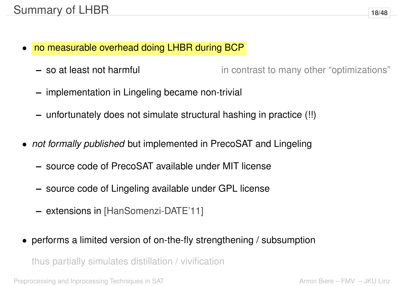- no measurable overhead doing LHBR during BCP
	- **–** so at least not harmful in contrast to many other "optimizations"
	- **–** implementation in Lingeling became non-trivial
	- **–** unfortunately does not simulate structural hashing in practice (!!)
- *not formally published* but implemented in PrecoSAT and Lingeling
	- **–** source code of PrecoSAT available under MIT license
	- **–** source code of Lingeling available under GPL license
	- **–** extensions in [HanSomenzi-DATE'11]
- performs a limited version of on-the-fly strengthening / subsumption

thus partially simulates distillation / vivification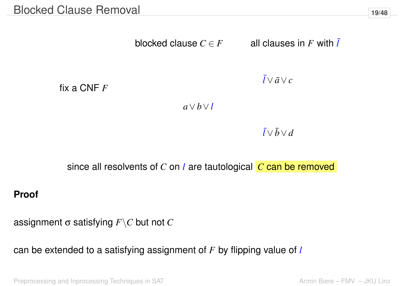blocked clause  $C \in F$  all clauses in F with  $\overline{l}$ 

fix a CNF *F*

 $\bar{l} ∨ \bar{a} ∨ c$ 

*a*∨*b*∨*l*

 $\bar{l} \vee \bar{b} \vee d$ 

since all resolvents of *C* on *l* are tautological *C* can be removed

#### **Proof**

assignment σ satisfying *F*\*C* but not *C*

can be extended to a satisfying assignment of *F* by flipping value of *l*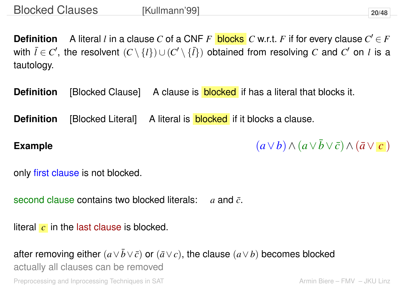**Definition** A literal *l* in a clause *C* of a CNF  $F$  blocks  $C$  w.r.t.  $F$  if for every clause  $C' \in F$ with  $\bar{l} \in C'$ , the resolvent  $(C \setminus \{l\}) \cup (C' \setminus \{\bar{l}\})$  obtained from resolving  $C$  and  $C'$  on  $l$  is a tautology.

**Definition** [Blocked Clause] A clause is **blocked** if has a literal that blocks it.

**Definition** [Blocked Literal] A literal is **blocked** if it blocks a clause.

**Example**  $(a \vee b) \wedge (a \vee \overline{b} \vee \overline{c}) \wedge (\overline{a} \vee \overline{c})$ 

only first clause is not blocked.

second clause contains two blocked literals: *a* and  $\bar{c}$ .

literal *c* in the last clause is blocked.

after removing either  $(a \vee \overline{b} \vee \overline{c})$  or  $(\overline{a} \vee c)$ , the clause  $(a \vee b)$  becomes blocked actually all clauses can be removed Preprocessing and Inprocessing Techniques in SAT Armin Biere – FMV – JKU Linz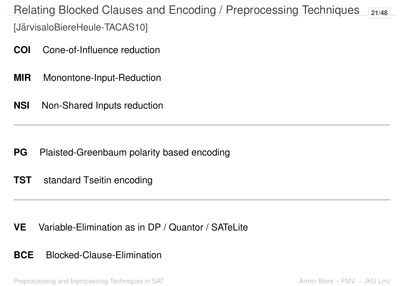## Relating Blocked Clauses and Encoding / Preprocessing Techniques **21/48**

[JärvisaloBiereHeule-TACAS10]

- **COI** Cone-of-Influence reduction
- **MIR** Monontone-Input-Reduction
- **NSI** Non-Shared Inputs reduction

**PG** Plaisted-Greenbaum polarity based encoding

**TST** standard Tseitin encoding

**VE** Variable-Elimination as in DP / Quantor / SATeLite

**BCE** Blocked-Clause-Elimination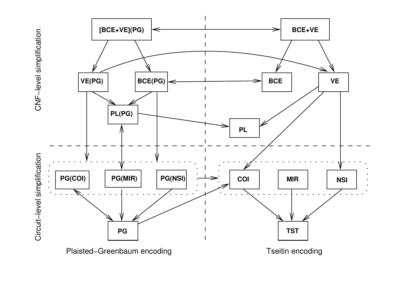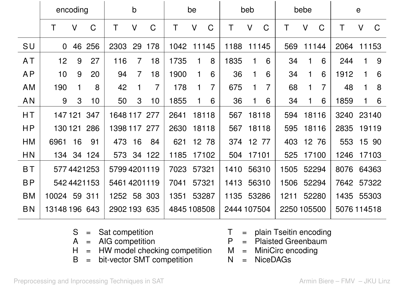|           | encoding        |              |             | $\mathsf b$  |                | be             |             | beb    |                | bebe        |                 | $\mathbf e$    |             |              |             |             |             |             |
|-----------|-----------------|--------------|-------------|--------------|----------------|----------------|-------------|--------|----------------|-------------|-----------------|----------------|-------------|--------------|-------------|-------------|-------------|-------------|
|           | T               | $\vee$       | $\mathsf C$ | Τ            | $\mathsf{V}$   | $\mathsf C$    | Τ           | $\vee$ | C              | Τ           | V               | $\mathsf C$    | Τ           | $\mathsf{V}$ | $\mathsf C$ | Τ           | $\vee$      | $\mathsf C$ |
| SU        | $\overline{0}$  | 46           | 256         | 2303         | 29             | 178            | 1042        |        | 11145          | 1188        |                 | 11145          | 569         |              | 11144       | 2064        | 11153       |             |
| <b>AT</b> | 12 <sub>2</sub> | 9            | 27          | 116          | $\overline{7}$ | 18             | 1735        | 1      | 8              | 1835        | 1               | 6              | 34          | 1            | 6           | 244         | 1           | 9           |
| <b>AP</b> | 10 <sub>1</sub> | 9            | 20          | 94           | $\overline{7}$ | 18             | 1900        | 1      | 6              | 36          | 1               | 6              | 34          | 1            | 6           | 1912        | 1           | 6           |
| <b>AM</b> | 190             | 1            | 8           | 42           | 1              | $\overline{7}$ | 178         | 1      | $\overline{7}$ | 675         | 1               | $\overline{7}$ | 68          | 1            | 7           | 48          | $\mathbf 1$ | 8           |
| <b>AN</b> | 9               | $\mathbf{3}$ | 10          | 50           | 3              | 10             | 1855        | 1      | 6              | 36          | 1               | 6              | 34          | 1            | 6           | 1859        | 1           | 6           |
| НT        |                 |              | 147 121 347 | 1648 117 277 |                |                | 2641        |        | 18118          | 567         |                 | 18118          | 594         |              | 18116       | 3240        | 23140       |             |
| HP        |                 |              | 130 121 286 | 1398 117 277 |                |                | 2630        |        | 18118          | 567         |                 | 18118          | 595         |              | 18116       | 2835        | 19119       |             |
| <b>HM</b> | 6961            | 16           | 91          | 473          | 16             | 84             | 621         |        | 12 78          | 374         | 12 <sup>2</sup> | 77             | 403         |              | 12 76       | 553         |             | 15 90       |
| <b>HN</b> | 134             |              | 34 124      | 573          |                | 34 122         | 1185        |        | 17102          | 504         |                 | 17101          | 525         |              | 17100       | 1246        | 17103       |             |
| <b>BT</b> |                 |              | 577 4421253 | 57994201119  |                |                | 7023        |        | 57321          | 1410        |                 | 56310          | 1505        | 52294        |             | 8076        | 64363       |             |
| <b>BP</b> |                 |              | 542 4421153 | 54614201119  |                |                | 7041        |        | 57321          | 1413        |                 | 56310          | 1506        | 52294        |             | 7642        | 57322       |             |
| <b>BM</b> | 10024           |              | 59 311      | 1252         |                | 58 303         | 1351        |        | 53287          | 1135        | 53286           |                | 1211        |              | 52280       | 1435        | 55303       |             |
| <b>BN</b> | 13148 196 643   |              |             | 2902 193     |                | 635            | 4845 108508 |        |                | 2444 107504 |                 |                | 2250 105500 |              |             | 5076 114518 |             |             |

| $S =$ Sat competition               |  | $T =$ plain Tseitin encoding |
|-------------------------------------|--|------------------------------|
| $A = AIG$ competition               |  | $P =$ Plaisted Greenbaum     |
| $H = HW$ model checking competition |  | $M =$ MiniCirc encoding      |
| $B = bit-vector SMT competition$    |  | $N = NiceDAGs$               |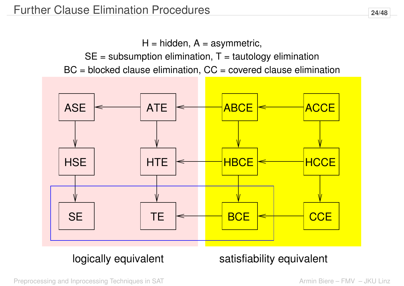$H = h$ idden,  $A =$  asymmetric,

 $SE =$  subsumption elimination,  $T =$  tautology elimination

 $BC = blocked$  clause elimination,  $CC = covered$  clause elimination



## logically equivalent satisfiability equivalent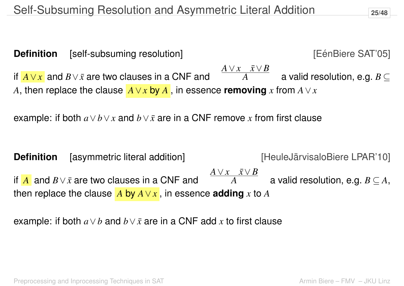**Definition** [self-subsuming resolution] [EénBiere SAT'05] if  $\overline{A \vee x}$  and  $B \vee \overline{x}$  are two clauses in a CNF and  $\overline{A \vee x}$  *x*  $\vee$  *x*  $\vee$  *B*  $A$  a valid resolution, e.g.  $B \subseteq$ *A*, then replace the clause  $\vec{A} \lor \vec{x}$  by  $\vec{A}$ , in essence removing  $\vec{x}$  from  $\vec{A} \lor \vec{x}$ 

example: if both  $a \vee b \vee x$  and  $b \vee \overline{x}$  are in a CNF remove x from first clause

**Definition** [asymmetric literal addition] [Internal and Figure 10] [Internal Setimate LPAR'10] if  $\overline{A}$  and  $B\vee \bar x$  are two clauses in a CNF and *A*∨*x x*¯∨*B*  $\overline{A}$  a valid resolution, e.g.  $B\subseteq A,$ then replace the clause  $\overline{A}$  by  $\overline{A} \vee \overline{x}$ , in essence **adding**  $\overline{x}$  to  $\overline{A}$ 

example: if both  $a \vee b$  and  $b \vee \overline{x}$  are in a CNF add  $x$  to first clause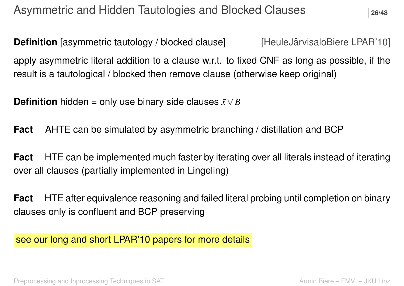**Definition** [asymmetric tautology / blocked clause] [HeuleJärvisaloBiere LPAR'10] apply asymmetric literal addition to a clause w.r.t. to fixed CNF as long as possible, if the result is a tautological / blocked then remove clause (otherwise keep original)

**Definition** hidden = only use binary side clauses  $\bar{x} \vee B$ 

**Fact** AHTE can be simulated by asymmetric branching / distillation and BCP

**Fact** HTE can be implemented much faster by iterating over all literals instead of iterating over all clauses (partially implemented in Lingeling)

**Fact** HTE after equivalence reasoning and failed literal probing until completion on binary clauses only is confluent and BCP preserving

see our long and short LPAR'10 papers for more details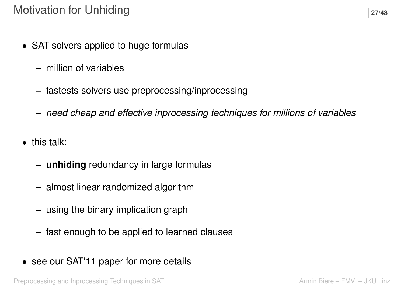- SAT solvers applied to huge formulas
	- **–** million of variables
	- **–** fastests solvers use preprocessing/inprocessing
	- **–** *need cheap and effective inprocessing techniques for millions of variables*
- this talk:
	- **– unhiding** redundancy in large formulas
	- **–** almost linear randomized algorithm
	- **–** using the binary implication graph
	- **–** fast enough to be applied to learned clauses
- see our SAT'11 paper for more details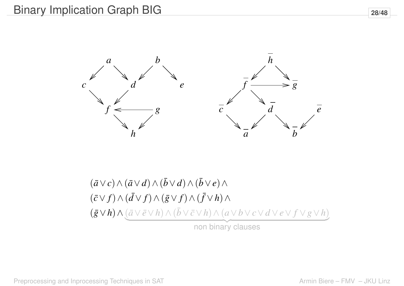

$$
(\bar{a} \vee c) \wedge (\bar{a} \vee d) \wedge (\bar{b} \vee d) \wedge (\bar{b} \vee e) \wedge (\bar{c} \vee f) \wedge (\bar{d} \vee f) \wedge (\bar{g} \vee f) \wedge (\bar{f} \vee h) \wedge (\bar{g} \vee h) \wedge (\bar{a} \vee \bar{e} \vee h) \wedge (\bar{b} \vee \bar{c} \vee h) \wedge (a \vee b \vee c \vee d \vee e \vee f \vee g \vee h) \text{non binary clauses}
$$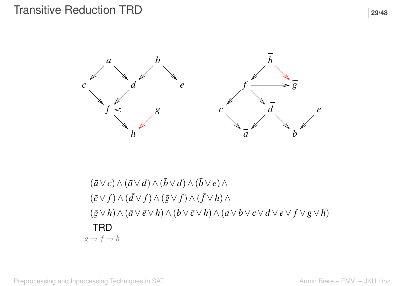

 $(\bar{a} \vee c) \wedge (\bar{a} \vee d) \wedge (\bar{b} \vee d) \wedge (\bar{b} \vee e) \wedge$  $(\bar{c} \vee f) \wedge (\bar{d} \vee f) \wedge (\bar{g} \vee f) \wedge (\bar{f} \vee h) \wedge$ **TRD**  $g \rightarrow f \rightarrow h$ (*g*¯∨*h*)∧(*a*¯∨*e*¯∨*h*)∧(*b*¯ ∨*c*¯∨*h*)∧(*a*∨*b*∨*c*∨*d* ∨*e*∨ *f* ∨*g*∨*h*)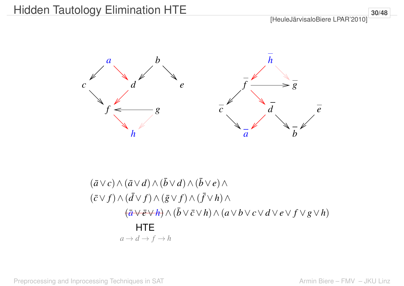[HeuleJärvisaloBiere LPAR'2010]



$$
(\bar{a}\vee c)\wedge(\bar{a}\vee d)\wedge(\bar{b}\vee d)\wedge(\bar{b}\vee e)\wedge
$$
  
\n
$$
(\bar{c}\vee f)\wedge(\bar{d}\vee f)\wedge(\bar{g}\vee f)\wedge(\bar{f}\vee h)\wedge
$$
  
\n
$$
(\bar{a}\vee\bar{e}\vee h)\wedge(\bar{b}\vee\bar{c}\vee h)\wedge(a\vee b\vee c\vee d\vee e\vee f\vee g\vee h)
$$
  
\nHTE  
\n
$$
a\rightarrow d\rightarrow f\rightarrow h
$$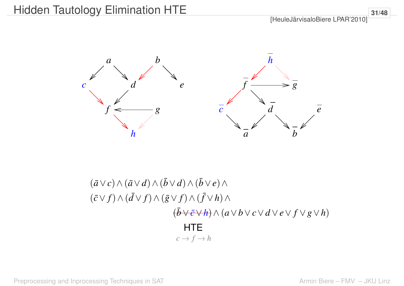[HeuleJärvisaloBiere LPAR'2010]



$$
(\bar{a}\vee c)\wedge(\bar{a}\vee d)\wedge(\bar{b}\vee d)\wedge(\bar{b}\vee e)\wedge
$$
  

$$
(\bar{c}\vee f)\wedge(\bar{d}\vee f)\wedge(\bar{g}\vee f)\wedge(\bar{f}\vee h)\wedge
$$
  

$$
(\bar{b}\vee\bar{e}\vee h)\wedge(a\vee b\vee c\vee d\vee e\vee f\vee g\vee h)
$$
  
HTE  

$$
c\rightarrow f\rightarrow h
$$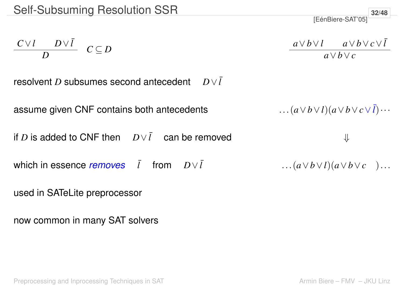$$
\begin{array}{c c} C \vee l & D \vee \bar{l} \\ \hline D & C \subseteq D \end{array}
$$

$$
\frac{a \vee b \vee l}{a \vee b \vee c} \xrightarrow{a \vee b \vee c \vee \overline{l}}
$$

[EénBiere-SAT'05]

**32/48**

resolvent *D* subsumes second antecedent  $D \vee l$ 

assume given CNF contains both antecedents  $\ldots (a \vee b \vee l)(a \vee b \vee c \vee l) \cdots$ 

if *D* is added to CNF then  $D\vee \overline{l}$  can be removed  $\qquad \qquad \Downarrow$ 

which in essence *removes*  $\bar{l}$  from  $D\vee \bar{l}$  ...( $a\vee b\vee l$ )( $a\vee b\vee c$ )...

```
used in SATeLite preprocessor
```
now common in many SAT solvers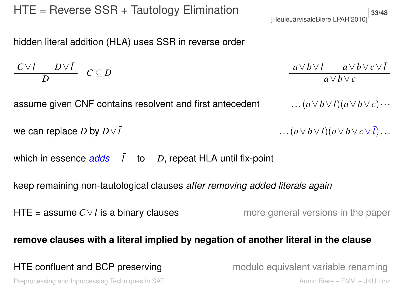hidden literal addition (HLA) uses SSR in reverse order

$$
\frac{C\vee l}{D} \quad C \subseteq D \qquad \qquad \frac{a\vee b\vee l}{a\vee b\vee c} \qquad \qquad \frac{a\vee b\vee l}{a\vee b\vee c}
$$

assume given CNF contains resolvent and first antecedent  $\ldots (a \vee b \vee l)(a \vee b \vee c) \cdots$ 

```
we can replace D by D \vee \overline{l} ... (a \vee b \vee l)(a \vee b \vee c \vee \overline{l})...
```
which in essence  $\frac{\partial}{\partial s}$   $\bar{l}$  to *D*, repeat HLA until fix-point

keep remaining non-tautological clauses *after removing added literals again*

HTE = assume  $C \vee l$  is a binary clauses more general versions in the paper

#### **remove clauses with a literal implied by negation of another literal in the clause**

#### HTE confluent and BCP preserving modulo equivalent variable renaming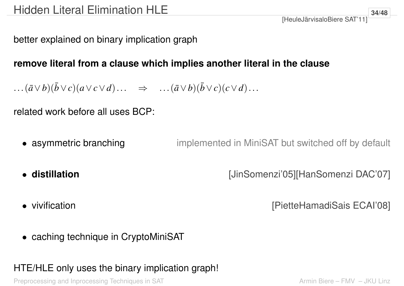better explained on binary implication graph

#### **remove literal from a clause which implies another literal in the clause**

 $\ldots$ ( $\bar{a} \vee b$ )( $\bar{b} \vee c$ )( $a \vee c \vee d$ )...  $\implies$   $\ldots$ ( $\bar{a} \vee b$ )( $\bar{b} \vee c$ )( $c \vee d$ )...

related work before all uses BCP:

- asymmetric branching implemented in MiniSAT but switched off by default
- 

• **distillation** [JinSomenzi'05][HanSomenzi DAC'07]

• vivification **by a strategier of the CAI'08** (PietteHamadiSais ECAI'08]

• caching technique in CryptoMiniSAT

### HTE/HLE only uses the binary implication graph!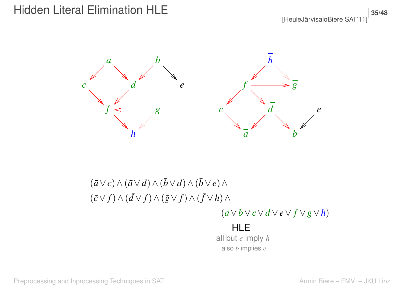

## $(\bar{a} \vee c) \wedge (\bar{a} \vee d) \wedge (\bar{b} \vee d) \wedge (\bar{b} \vee e) \wedge$  $(\bar{c} \vee f) \wedge (\bar{d} \vee f) \wedge (\bar{g} \vee f) \wedge (\bar{f} \vee h) \wedge$

#### (*a*∨*b*∨*c*∨*d* ∨*e*∨ *f* ∨*g*∨*h*)

#### HLE all but *e* imply *h* also *b* implies *e*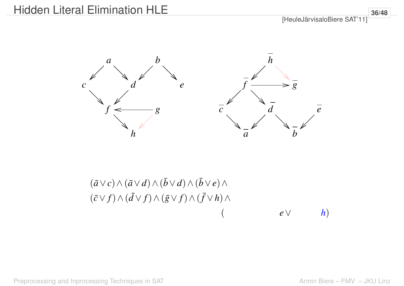

$$
(\bar{a}\vee c)\wedge(\bar{a}\vee d)\wedge(\bar{b}\vee d)\wedge(\bar{b}\vee e)\wedge(\bar{c}\vee f)\wedge(\bar{d}\vee f)\wedge(\bar{g}\vee f)\wedge(\bar{f}\vee h)\wedge(e\vee h)
$$

**36/48**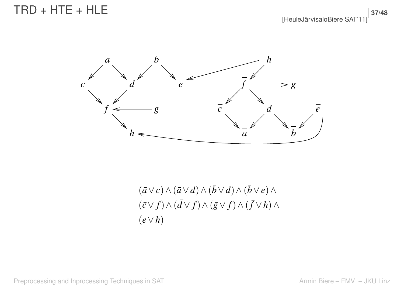

 $(\bar{a} \vee c) \wedge (\bar{a} \vee d) \wedge (\bar{b} \vee d) \wedge (\bar{b} \vee e) \wedge$  $(\bar{c} \vee f) \wedge (\bar{d} \vee f) \wedge (\bar{g} \vee f) \wedge (\bar{f} \vee h) \wedge$ (*e*∨*h*)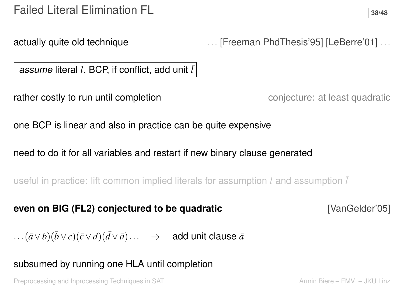actually quite old technique **....** [Freeman PhdThesis'95] [LeBerre'01] ...

*assume* literal *l*, BCP, if conflict, add unit  $\overline{l}$ 

rather costly to run until completion rather conjecture: at least quadratic

one BCP is linear and also in practice can be quite expensive

need to do it for all variables and restart if new binary clause generated

useful in practice: lift common implied literals for assumption *l* and assumption ¯*l*

**even on BIG (FL2) conjectured to be quadratic [VanGelder'05]** 

... $(\bar{a} \vee b)(\bar{b} \vee c)(\bar{c} \vee d)(\bar{d} \vee \bar{a})$ ... ⇒ add unit clause  $\bar{a}$ 

subsumed by running one HLA until completion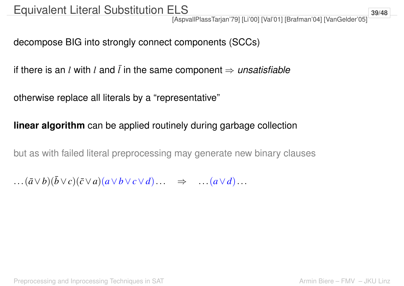[AspvallPlassTarjan'79] [Li'00] [Val'01] [Brafman'04] [VanGelder'05]

decompose BIG into strongly connect components (SCCs)

if there is an *l* with *l* and  $\overline{l}$  in the same component  $\Rightarrow$  *unsatisfiable* 

otherwise replace all literals by a "representative"

### **linear algorithm** can be applied routinely during garbage collection

but as with failed literal preprocessing may generate new binary clauses

 $\ldots$  $(\bar{a} \vee b)(\bar{b} \vee c)(\bar{c} \vee a)(\bar{a} \vee b \vee c \vee d) \ldots \Rightarrow \ldots (\bar{a} \vee d) \ldots$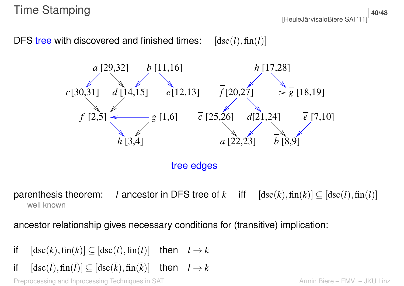## Time Stamping

[HeuleJärvisaloBiere SAT'11]

DFS tree with discovered and finished times:  $[asc(l), fin(l)]$ 



tree edges

well known parenthesis theorem: *l* ancestor in DFS tree of *k* iff  $[\text{dsc}(k),\text{fin}(k)] \subseteq [\text{dsc}(l),\text{fin}(l)]$ 

ancestor relationship gives necessary conditions for (transitive) implication:

- if  $[\text{dsc}(k),\text{fin}(k)] \subseteq [\text{dsc}(l),\text{fin}(l)]$  then  $l \to k$
- if  $[{\rm dsc}(\bar{l}),{\rm fin}(\bar{l})]\subseteq[{\rm dsc}(\bar{k}),{\rm fin}(\bar{k})]$  then  $l\to k$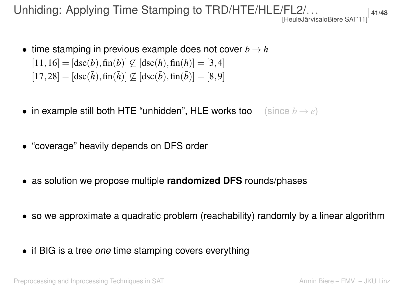Unhiding: Applying Time Stamping to TRD/HTE/HLE/FL2/...

- time stamping in previous example does not cover  $b \rightarrow h$  $[11, 16] = [\text{dsc}(b), \text{fin}(b)] \not\subseteq [\text{dsc}(h), \text{fin}(h)] = [3, 4]$  $[17,28] = [\text{dsc}(\bar{h}),\text{fin}(\bar{h})] \not\subseteq [\text{dsc}(\bar{b}),\text{fin}(\bar{b})] = [8,9]$
- in example still both HTE "unhidden", HLE works too (since *b* → *e*)
- "coverage" heavily depends on DFS order
- as solution we propose multiple **randomized DFS** rounds/phases
- so we approximate a quadratic problem (reachability) randomly by a linear algorithm
- if BIG is a tree *one* time stamping covers everything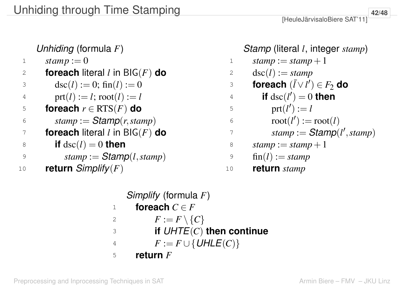*Unhiding* (formula *F*)  $stamp := 0$  **foreach** literal *l* in BIG(*F*) **do**  $\text{dsc}(l) := 0; \text{fin}(l) := 0$  $\text{prt}(l) := l; \text{root}(l) := l$ **foreach**  $r \in \text{RTS}(F)$  **do**  $\delta$  *stamp* := *Stamp*(*r*,*stamp*) **foreach** literal *l* in BIG(*F*) **do if**  $dsc(l) = 0$  **then**  $stanp := Stamp(l, stamp)$ **return** *Simplify*(*F*)

*Stamp* (literal *l*, integer *stamp*)

$$
1 \quad \text{stamp} := \text{stamp} + 1
$$
\n
$$
2 \quad \text{dsc}(l) := \text{stamp}
$$

3 **forceach** 
$$
(\overline{l} \vee \overline{l'}) \in F_2
$$
 do

4 if 
$$
\text{dsc}(l') = 0
$$
 then

$$
5 \quad \text{prt}(l') := l
$$

$$
5 \qquad \qquad \text{root}(l') := \text{root}(l)
$$

$$
7 \qquad \qquad stamp := \text{Stamp}(l', stamp)
$$

$$
8 \qquad stamp := stamp + 1
$$

$$
9 \quad \text{fin}(l) := stamp
$$

<sup>10</sup> **return** *stamp*

*Simplify* (formula *F*)

$$
1 \qquad \textbf{foreach } C \in F
$$

$$
2 \qquad F := F \setminus \{C\}
$$

<sup>3</sup> **if** *UHTE*(*C*) **then continue**

$$
^{4} \qquad F := F \cup \{ \textit{UHLE}(C) \}
$$

<sup>5</sup> **return** *F*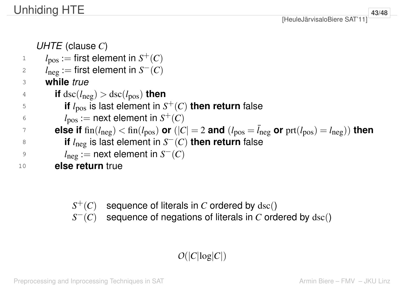**43/48**

*UHTE* (clause *C*)  $l_{\text{pos}} := \text{first element in } S^+(C)$  $l_{\text{neg}} := \text{first element in } S^-(C)$  **while** *true* **if** dsc( $l_{\text{neg}}$ ) > dsc( $l_{\text{pos}}$ ) then **if**  $l_{\text{pos}}$  is last element in  $S^+(C)$  then return false  $l_{\text{pos}} := \text{next element in } S^+(C)$ **Probably consider if**  $\text{fin}(l_{\text{neg}}) < \text{fin}(l_{\text{pos}})$  or  $(|C| = 2$  and  $(l_{\text{pos}} = \bar{l}_{\text{neg}})$  or  $\text{prt}(l_{\text{pos}}) = l_{\text{neg}})$ ) then **if**  $l_{\text{neg}}$  is last element in  $S^{-}(C)$  then return false  $l_{\text{neg}} := \text{next element in } S^-(C)$ **else return** true

- $S^+(C)$  sequence of literals in *C* ordered by  $\text{dsc}()$
- *S*<sup>−</sup>(*C*) sequence of negations of literals in *C* ordered by dsc()

## $O(|C|\log|C|)$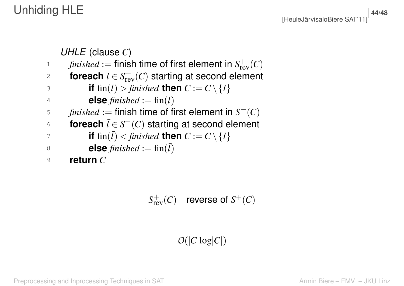## Unhiding HLE

*UHLE* (clause *C*) *finished* := finish time of first element in  $S_{rev}^+(C)$ **foreach**  $l \in S^+_{rev}(C)$  starting at second element **if** fin(*l*) > *finished* **then**  $C := C \setminus \{l\}$ **else**  $\text{finite}\, d := \text{fin}(l)$ *finished* := finish time of first element in  $S^-(C)$  **foreach** ¯*l* ∈ *S* <sup>−</sup>(*C*) starting at second element  $\begin{aligned} \mathbf{F} \quad \mathbf{F} \quad \mathbf{F} \quad \mathbf{F} \quad \mathbf{F} \quad \mathbf{F} \quad \mathbf{F} \quad \mathbf{F} \quad \mathbf{F} \quad \mathbf{F} \quad \mathbf{F} \quad \mathbf{F} \quad \mathbf{F} \quad \mathbf{F} \quad \mathbf{F} \quad \mathbf{F} \quad \mathbf{F} \quad \mathbf{F} \quad \mathbf{F} \quad \mathbf{F} \quad \mathbf{F} \quad \mathbf{F} \quad \mathbf{F} \quad \mathbf{F} \quad \mathbf{F} \quad \mathbf{F} \quad \mathbf{F} \$  **else** *finished* := fin( ¯*l*) <sup>9</sup> **return** *C*

 $S_{\rm rev}^+(C)$  reverse of  $S^+(C)$ 

## $O(|C|\log|C|)$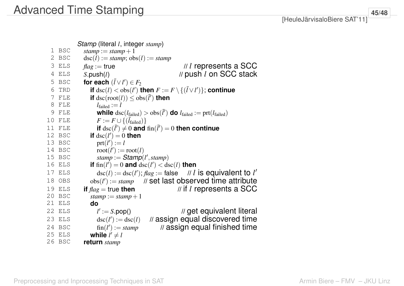|    |            | Stamp (literal <i>l</i> , integer stamp)                                                                       |
|----|------------|----------------------------------------------------------------------------------------------------------------|
| 1  | <b>BSC</b> | stamp := $stamp + 1$                                                                                           |
| 2  | BSC        | $\text{dsc}(l) := \text{stamp}; \text{obs}(l) := \text{stamp}$                                                 |
| 3  | ELS        | // l represents a SCC<br>$flag := true$                                                                        |
| 4  | ELS        | // push <i>l</i> on SCC stack<br>S.push(l)                                                                     |
| 5  | BSC        | for each $(\bar{l} \vee l') \in F_2$                                                                           |
| 6  | TRD        | if $\text{dsc}(l) < \text{obs}(l')$ then $F := F \setminus \{(\overline{l} \vee l')\}$ ; continue              |
| 7  | FLE        | if $\text{dsc}(\text{root}(l)) \leq \text{obs}(\bar{l}')$ then                                                 |
| 8  | FLE        | $l_{\text{failed}} := l$                                                                                       |
| 9  | FLE        | while $\text{dsc}(l_{\text{failed}}) > \text{obs}(l')$ do $l_{\text{failed}} := \text{prt}(l_{\text{failed}})$ |
| 10 | FLE        | $F := F \cup \{(l_{\text{failed}})\}\$                                                                         |
| 11 | FLE        | if $\text{dsc}(\bar{l}') \neq 0$ and $\text{fin}(\bar{l}') = 0$ then continue                                  |
| 12 | BSC        | if $\text{dsc}(l')=0$ then                                                                                     |
| 13 | <b>BSC</b> | $prt(l') := l$                                                                                                 |
| 14 | BSC        | $root(l') := root(l)$                                                                                          |
| 15 | BSC        | stamp := $Stamp(l', stamp)$                                                                                    |
| 16 | ELS        | if fin( $l'$ ) = 0 and $\text{dsc}(l') < \text{dsc}(l)$ then                                                   |
| 17 | ELS        | $\text{dsc}(l) := \text{dsc}(l')$ ; $\text{flag} := \text{false}$ // l is equivalent to l'                     |
| 18 | OBS        | $obs(l') := stamp$ // set last observed time attribute                                                         |
| 19 | ELS        | $\frac{1}{2}$ if l represents a SCC<br>if $flag = true$ then                                                   |
| 20 | BSC        | stamp := stamp + 1                                                                                             |
| 21 | ELS        | do                                                                                                             |
| 22 | ELS        | // get equivalent literal<br>$l' := S.pop()$                                                                   |
| 23 | ELS        | // assign equal discovered time<br>$\operatorname{dsc}(l') := \operatorname{dsc}(l)$                           |
| 24 | BSC        | // assign equal finished time<br>$fin(l') := stamp$                                                            |
| 25 | ELS        | while $l' \neq l$                                                                                              |
|    | 26 BSC     | return stamp                                                                                                   |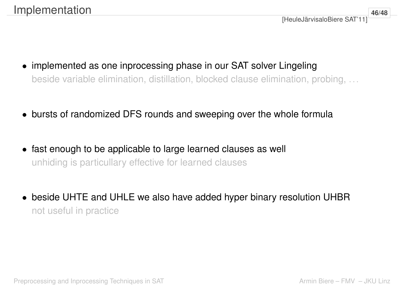**46/48**

- implemented as one inprocessing phase in our SAT solver Lingeling beside variable elimination, distillation, blocked clause elimination, probing, ...
- bursts of randomized DFS rounds and sweeping over the whole formula
- fast enough to be applicable to large learned clauses as well unhiding is particullary effective for learned clauses
- beside UHTE and UHLE we also have added hyper binary resolution UHBR not useful in practice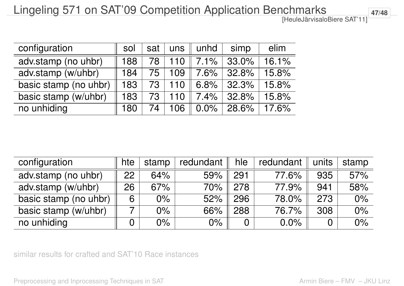## Lingeling 571 on SAT'09 Competition Application Benchmarks

[HeuleJärvisaloBiere SAT'11]

| configuration         | SOI | sat | $\lfloor$ uns $\lfloor$ | unhd    | simp     | elim  |
|-----------------------|-----|-----|-------------------------|---------|----------|-------|
| adv.stamp (no uhbr)   | 188 | 78  | 110                     | 7.1%    | 33.0%    | 16.1% |
| adv.stamp (w/uhbr)    | 184 | 75  | 109                     | 7.6%    | 32.8%    | 15.8% |
| basic stamp (no uhbr) | 183 | 73  | 110                     | 6.8%    | 32.3%    | 15.8% |
| basic stamp (w/uhbr)  | 183 | 73  | 110                     | 7.4%    | $32.8\%$ | 15.8% |
| no unhiding           | 180 | 74  | 106                     | $0.0\%$ | 28.6%    | 17.6% |

| configuration         | hte | stamp | redundant | hle            | redundant | units          | stamp |
|-----------------------|-----|-------|-----------|----------------|-----------|----------------|-------|
| adv.stamp (no uhbr)   | 22  | 64%   | 59%       | 291            | 77.6%     | 935            | 57%   |
| adv.stamp (w/uhbr)    | 26  | 67%   | 70%       | 278            | 77.9%     | 941            | 58%   |
| basic stamp (no uhbr) | 6   | $0\%$ | 52%       | 296            | 78.0%     | 273            | $0\%$ |
| basic stamp (w/uhbr)  |     | $0\%$ | 66%       | 288            | 76.7%     | 308            | 0%    |
| no unhiding           |     | $0\%$ | $0\%$     | $\overline{0}$ | 0.0%      | $\overline{0}$ | $0\%$ |

similar results for crafted and SAT'10 Race instances